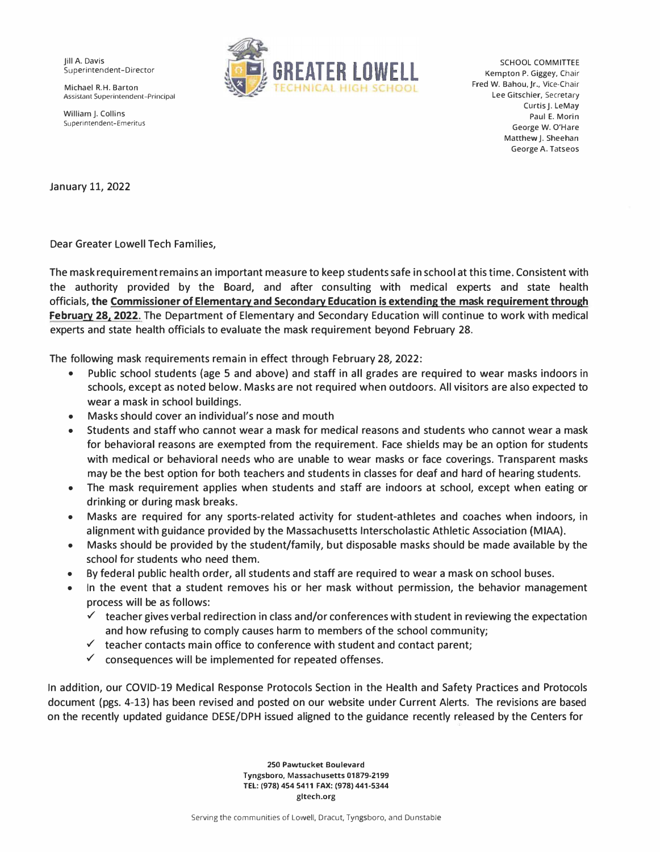Assistant Superintendent-Principal



Curtis J. LeMay William J. Collins<br>Collins Paul E. Morin Paul E. Morin Paul E. Morin Paul E. Morin Paul E. Morin Paul E. Morin Paul E. Morin Paul Superintendent-Emeritus George W. O'Hare Matthew J. Sheehan George A. Tatseos

January 11, 2022

Dear Greater Lowell Tech Families,

The mask requirement remains an important measure to keep students safe in school at this time. Consistent with the authority provided by the Board, and after consulting with medical experts and state health officials, **the Commissioner of Elementary and Secondary Education is extending the mask requirement through February 28, 2022.** The Department of Elementary and Secondary Education will continue to work with medical experts and state health officials to evaluate the mask requirement beyond February 28.

The following mask requirements remain in effect through February 28, 2022:

- Public school students (age 5 and above) and staff in all grades are required to wear masks indoors in schools, except as noted below. Masks are not required when outdoors. All visitors are also expected to wear a mask in school buildings.
- Masks should cover an individual's nose and mouth
- Students and staff who cannot wear a mask for medical reasons and students who cannot wear a mask for behavioral reasons are exempted from the requirement. Face shields may be an option for students with medical or behavioral needs who are unable to wear masks or face coverings. Transparent masks may be the best option for both teachers and students in classes for deaf and hard of hearing students.
- The mask requirement applies when students and staff are indoors at school, except when eating or drinking or during mask breaks.
- Masks are required for any sports-related activity for student-athletes and coaches when indoors, in alignment with guidance provided by the Massachusetts Interscholastic Athletic Association (MIAA).
- Masks should be provided by the student/family, but disposable masks should be made available by the school for students who need them.
- By federal public health order, all students and staff are required to wear a mask on school buses.
- In the event that a student removes his or her mask without permission, the behavior management process will be as follows:
	- $\checkmark$  teacher gives verbal redirection in class and/or conferences with student in reviewing the expectation and how refusing to comply causes harm to members of the school community;
	- $\checkmark$  teacher contacts main office to conference with student and contact parent;
	- $\checkmark$  consequences will be implemented for repeated offenses.

In addition, our COVID-19 Medical Response Protocols Section in the Health and Safety Practices and Protocols document (pgs. 4-13) has been revised and posted on our website under Current Alerts. The revisions are based on the recently updated guidance DESE/DPH issued aligned to the guidance recently released by the Centers for

> **250 Pawtucket Boulevard**  Tyngsboro, Massachusetts 01879-2199 **TEL: (978) 454 5411 FAX: (978) 441-5344**  [gltech.org](https://gltech.org)